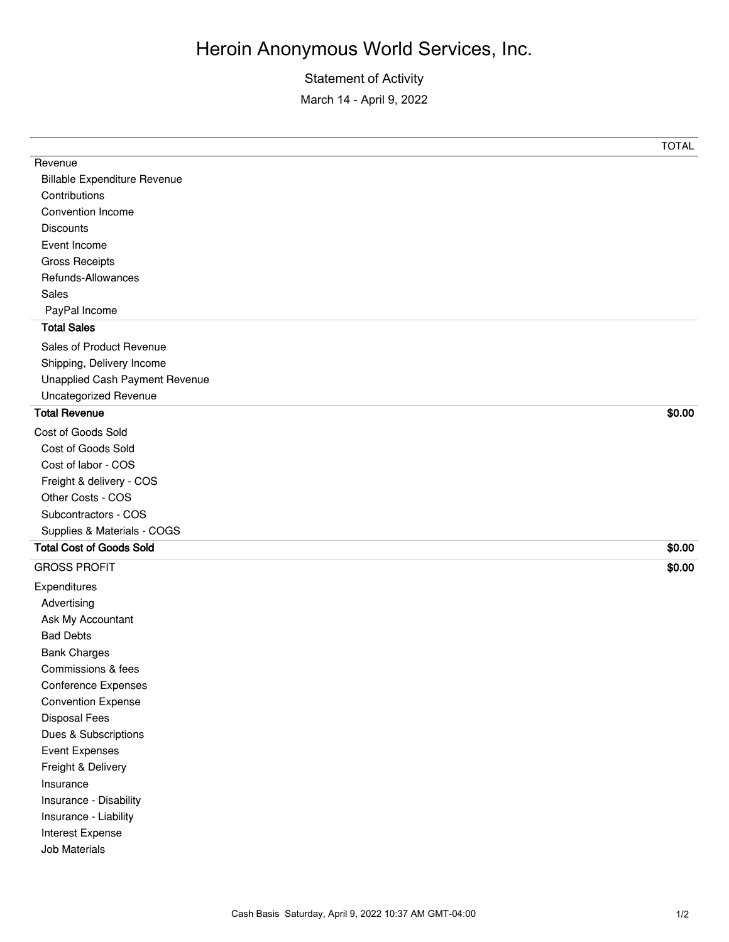## Heroin Anonymous World Services, Inc.

## Statement of Activity

March 14 - April 9, 2022

|                                     | <b>TOTAL</b> |
|-------------------------------------|--------------|
| Revenue                             |              |
| <b>Billable Expenditure Revenue</b> |              |
| Contributions                       |              |
| Convention Income                   |              |
| <b>Discounts</b>                    |              |
| Event Income                        |              |
| <b>Gross Receipts</b>               |              |
| Refunds-Allowances                  |              |
| Sales                               |              |
| PayPal Income                       |              |
| <b>Total Sales</b>                  |              |
| Sales of Product Revenue            |              |
| Shipping, Delivery Income           |              |
| Unapplied Cash Payment Revenue      |              |
| Uncategorized Revenue               |              |
| <b>Total Revenue</b>                | \$0.00       |
| <b>Cost of Goods Sold</b>           |              |
| Cost of Goods Sold                  |              |
| Cost of labor - COS                 |              |
| Freight & delivery - COS            |              |
| Other Costs - COS                   |              |
| Subcontractors - COS                |              |
| Supplies & Materials - COGS         |              |
| <b>Total Cost of Goods Sold</b>     | \$0.00       |
| <b>GROSS PROFIT</b>                 | \$0.00       |
| Expenditures                        |              |
| Advertising                         |              |
| Ask My Accountant                   |              |
| <b>Bad Debts</b>                    |              |
| <b>Bank Charges</b>                 |              |
| Commissions & fees                  |              |
| <b>Conference Expenses</b>          |              |
| <b>Convention Expense</b>           |              |
| <b>Disposal Fees</b>                |              |
| Dues & Subscriptions                |              |
| <b>Event Expenses</b>               |              |
| Freight & Delivery                  |              |
| Insurance                           |              |
| Insurance - Disability              |              |
| Insurance - Liability               |              |
| Interest Expense                    |              |
| Job Materials                       |              |